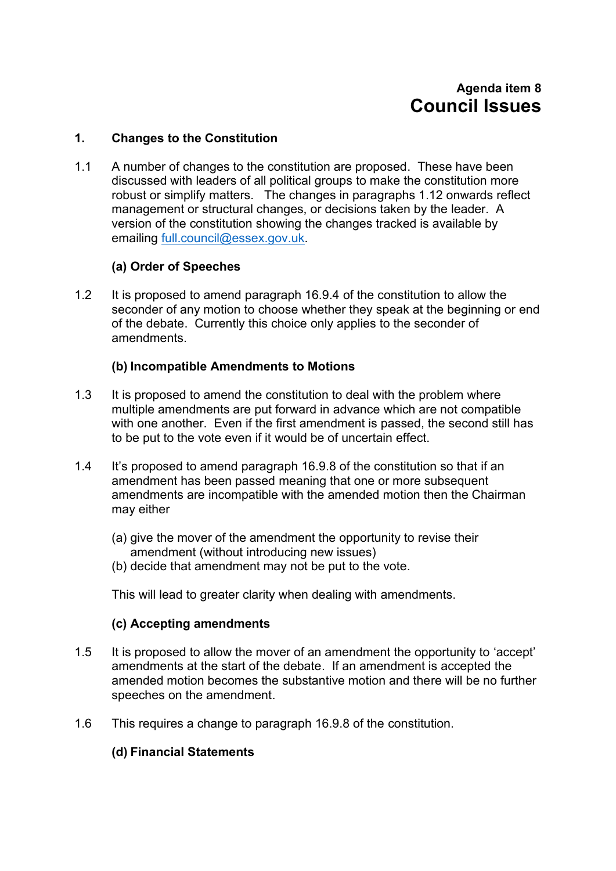# **Agenda item 8 Council Issues**

#### **1. Changes to the Constitution**

1.1 A number of changes to the constitution are proposed. These have been discussed with leaders of all political groups to make the constitution more robust or simplify matters. The changes in paragraphs 1.12 onwards reflect management or structural changes, or decisions taken by the leader. A version of the constitution showing the changes tracked is available by emailing [full.council@essex.gov.uk.](mailto:full.council@essex.gov.uk)

#### **(a) Order of Speeches**

1.2 It is proposed to amend paragraph 16.9.4 of the constitution to allow the seconder of any motion to choose whether they speak at the beginning or end of the debate. Currently this choice only applies to the seconder of amendments.

#### **(b) Incompatible Amendments to Motions**

- 1.3 It is proposed to amend the constitution to deal with the problem where multiple amendments are put forward in advance which are not compatible with one another. Even if the first amendment is passed, the second still has to be put to the vote even if it would be of uncertain effect.
- 1.4 It's proposed to amend paragraph 16.9.8 of the constitution so that if an amendment has been passed meaning that one or more subsequent amendments are incompatible with the amended motion then the Chairman may either
	- (a) give the mover of the amendment the opportunity to revise their amendment (without introducing new issues)
	- (b) decide that amendment may not be put to the vote.

This will lead to greater clarity when dealing with amendments.

#### **(c) Accepting amendments**

- 1.5 It is proposed to allow the mover of an amendment the opportunity to 'accept' amendments at the start of the debate. If an amendment is accepted the amended motion becomes the substantive motion and there will be no further speeches on the amendment.
- 1.6 This requires a change to paragraph 16.9.8 of the constitution.

## **(d) Financial Statements**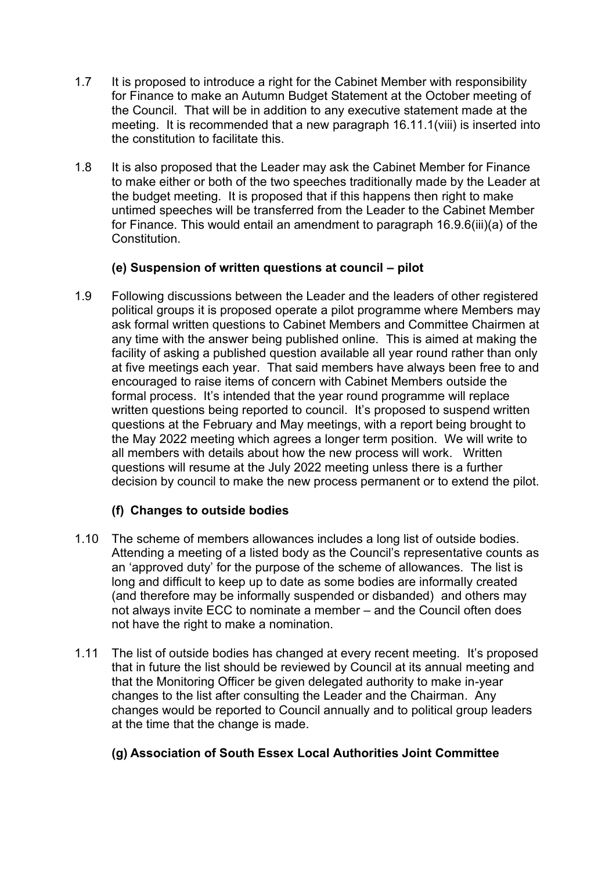- 1.7 It is proposed to introduce a right for the Cabinet Member with responsibility for Finance to make an Autumn Budget Statement at the October meeting of the Council. That will be in addition to any executive statement made at the meeting. It is recommended that a new paragraph 16.11.1(viii) is inserted into the constitution to facilitate this.
- 1.8 It is also proposed that the Leader may ask the Cabinet Member for Finance to make either or both of the two speeches traditionally made by the Leader at the budget meeting. It is proposed that if this happens then right to make untimed speeches will be transferred from the Leader to the Cabinet Member for Finance. This would entail an amendment to paragraph 16.9.6(iii)(a) of the Constitution.

## **(e) Suspension of written questions at council – pilot**

1.9 Following discussions between the Leader and the leaders of other registered political groups it is proposed operate a pilot programme where Members may ask formal written questions to Cabinet Members and Committee Chairmen at any time with the answer being published online. This is aimed at making the facility of asking a published question available all year round rather than only at five meetings each year. That said members have always been free to and encouraged to raise items of concern with Cabinet Members outside the formal process. It's intended that the year round programme will replace written questions being reported to council. It's proposed to suspend written questions at the February and May meetings, with a report being brought to the May 2022 meeting which agrees a longer term position. We will write to all members with details about how the new process will work. Written questions will resume at the July 2022 meeting unless there is a further decision by council to make the new process permanent or to extend the pilot.

## **(f) Changes to outside bodies**

- 1.10 The scheme of members allowances includes a long list of outside bodies. Attending a meeting of a listed body as the Council's representative counts as an 'approved duty' for the purpose of the scheme of allowances. The list is long and difficult to keep up to date as some bodies are informally created (and therefore may be informally suspended or disbanded) and others may not always invite ECC to nominate a member – and the Council often does not have the right to make a nomination.
- 1.11 The list of outside bodies has changed at every recent meeting. It's proposed that in future the list should be reviewed by Council at its annual meeting and that the Monitoring Officer be given delegated authority to make in-year changes to the list after consulting the Leader and the Chairman. Any changes would be reported to Council annually and to political group leaders at the time that the change is made.

## **(g) Association of South Essex Local Authorities Joint Committee**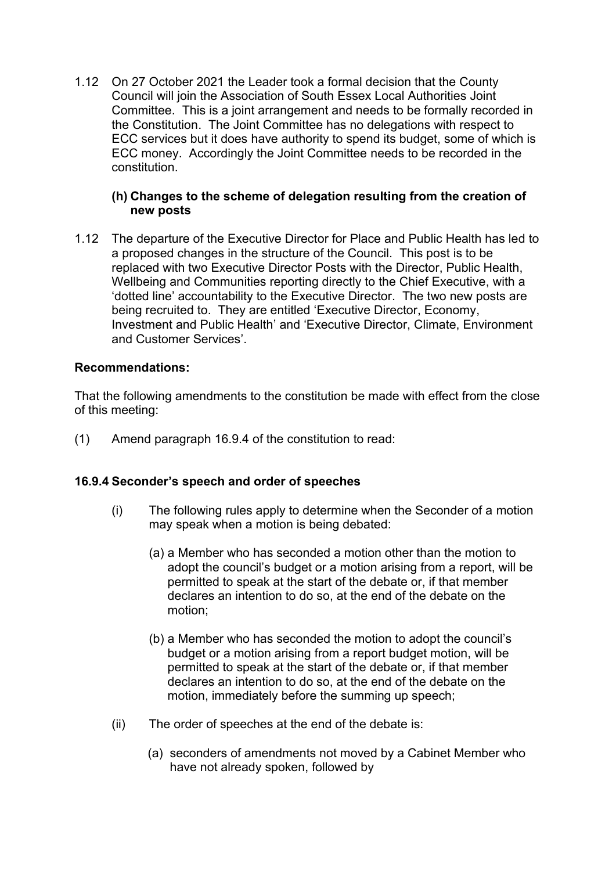1.12 On 27 October 2021 the Leader took a formal decision that the County Council will join the Association of South Essex Local Authorities Joint Committee. This is a joint arrangement and needs to be formally recorded in the Constitution. The Joint Committee has no delegations with respect to ECC services but it does have authority to spend its budget, some of which is ECC money. Accordingly the Joint Committee needs to be recorded in the constitution.

#### **(h) Changes to the scheme of delegation resulting from the creation of new posts**

1.12 The departure of the Executive Director for Place and Public Health has led to a proposed changes in the structure of the Council. This post is to be replaced with two Executive Director Posts with the Director, Public Health, Wellbeing and Communities reporting directly to the Chief Executive, with a 'dotted line' accountability to the Executive Director. The two new posts are being recruited to. They are entitled 'Executive Director, Economy, Investment and Public Health' and 'Executive Director, Climate, Environment and Customer Services'.

#### **Recommendations:**

That the following amendments to the constitution be made with effect from the close of this meeting:

(1) Amend paragraph 16.9.4 of the constitution to read:

#### **16.9.4 Seconder's speech and order of speeches**

- (i) The following rules apply to determine when the Seconder of a motion may speak when a motion is being debated:
	- (a) a Member who has seconded a motion other than the motion to adopt the council's budget or a motion arising from a report, will be permitted to speak at the start of the debate or, if that member declares an intention to do so, at the end of the debate on the motion;
	- (b) a Member who has seconded the motion to adopt the council's budget or a motion arising from a report budget motion, will be permitted to speak at the start of the debate or, if that member declares an intention to do so, at the end of the debate on the motion, immediately before the summing up speech;
- (ii) The order of speeches at the end of the debate is:
	- (a) seconders of amendments not moved by a Cabinet Member who have not already spoken, followed by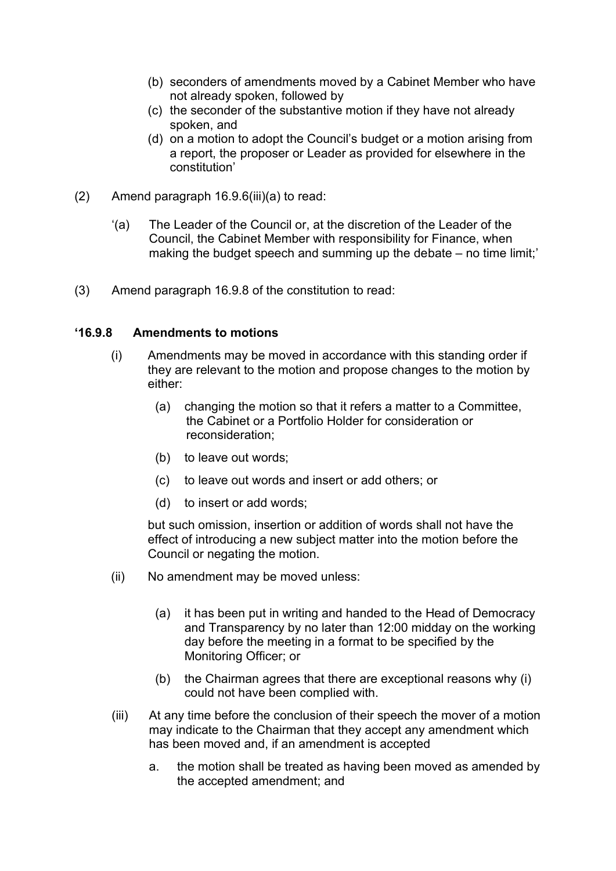- (b) seconders of amendments moved by a Cabinet Member who have not already spoken, followed by
- (c) the seconder of the substantive motion if they have not already spoken, and
- (d) on a motion to adopt the Council's budget or a motion arising from a report, the proposer or Leader as provided for elsewhere in the constitution'
- (2) Amend paragraph 16.9.6(iii)(a) to read:
	- '(a) The Leader of the Council or, at the discretion of the Leader of the Council, the Cabinet Member with responsibility for Finance, when making the budget speech and summing up the debate – no time limit;'
- (3) Amend paragraph 16.9.8 of the constitution to read:

#### **'16.9.8 Amendments to motions**

- (i) Amendments may be moved in accordance with this standing order if they are relevant to the motion and propose changes to the motion by either:
	- (a) changing the motion so that it refers a matter to a Committee, the Cabinet or a Portfolio Holder for consideration or reconsideration;
	- (b) to leave out words;
	- (c) to leave out words and insert or add others; or
	- (d) to insert or add words;

but such omission, insertion or addition of words shall not have the effect of introducing a new subject matter into the motion before the Council or negating the motion.

- (ii) No amendment may be moved unless:
	- (a) it has been put in writing and handed to the Head of Democracy and Transparency by no later than 12:00 midday on the working day before the meeting in a format to be specified by the Monitoring Officer; or
	- (b) the Chairman agrees that there are exceptional reasons why (i) could not have been complied with.
- (iii) At any time before the conclusion of their speech the mover of a motion may indicate to the Chairman that they accept any amendment which has been moved and, if an amendment is accepted
	- a. the motion shall be treated as having been moved as amended by the accepted amendment; and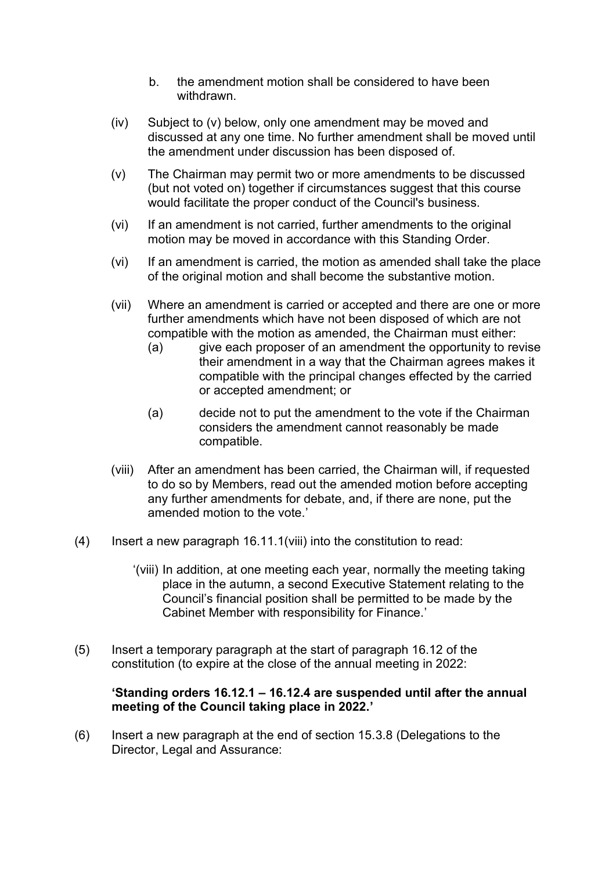- b. the amendment motion shall be considered to have been withdrawn.
- (iv) Subject to (v) below, only one amendment may be moved and discussed at any one time. No further amendment shall be moved until the amendment under discussion has been disposed of.
- (v) The Chairman may permit two or more amendments to be discussed (but not voted on) together if circumstances suggest that this course would facilitate the proper conduct of the Council's business.
- (vi) If an amendment is not carried, further amendments to the original motion may be moved in accordance with this Standing Order.
- (vi) If an amendment is carried, the motion as amended shall take the place of the original motion and shall become the substantive motion.
- (vii) Where an amendment is carried or accepted and there are one or more further amendments which have not been disposed of which are not compatible with the motion as amended, the Chairman must either:
	- (a) give each proposer of an amendment the opportunity to revise their amendment in a way that the Chairman agrees makes it compatible with the principal changes effected by the carried or accepted amendment; or
	- (a) decide not to put the amendment to the vote if the Chairman considers the amendment cannot reasonably be made compatible.
- (viii) After an amendment has been carried, the Chairman will, if requested to do so by Members, read out the amended motion before accepting any further amendments for debate, and, if there are none, put the amended motion to the vote.'
- (4) Insert a new paragraph 16.11.1(viii) into the constitution to read:
	- '(viii) In addition, at one meeting each year, normally the meeting taking place in the autumn, a second Executive Statement relating to the Council's financial position shall be permitted to be made by the Cabinet Member with responsibility for Finance.'
- (5) Insert a temporary paragraph at the start of paragraph 16.12 of the constitution (to expire at the close of the annual meeting in 2022:

#### **'Standing orders 16.12.1 – 16.12.4 are suspended until after the annual meeting of the Council taking place in 2022.'**

(6) Insert a new paragraph at the end of section 15.3.8 (Delegations to the Director, Legal and Assurance: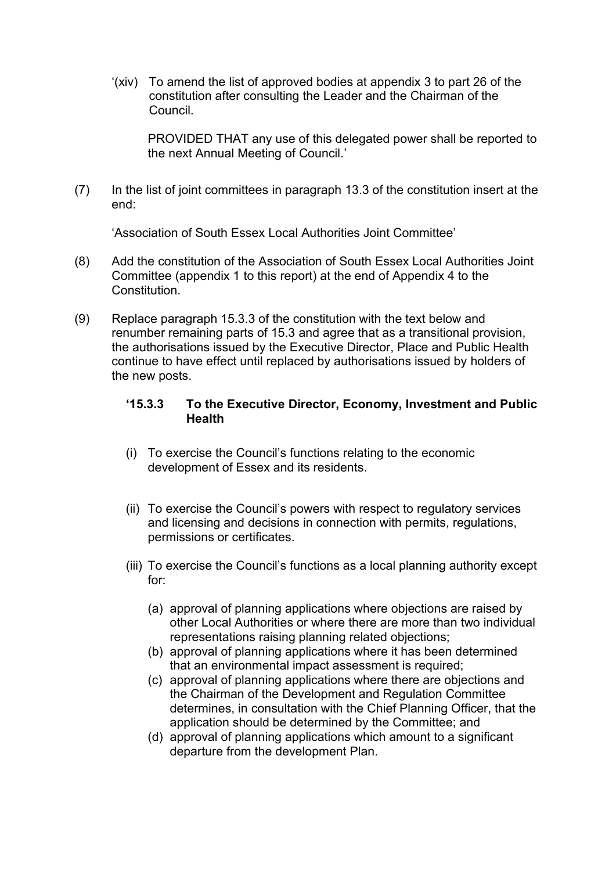'(xiv) To amend the list of approved bodies at appendix 3 to part 26 of the constitution after consulting the Leader and the Chairman of the Council.

PROVIDED THAT any use of this delegated power shall be reported to the next Annual Meeting of Council.'

(7) In the list of joint committees in paragraph 13.3 of the constitution insert at the end:

'Association of South Essex Local Authorities Joint Committee'

- (8) Add the constitution of the Association of South Essex Local Authorities Joint Committee (appendix 1 to this report) at the end of Appendix 4 to the Constitution.
- (9) Replace paragraph 15.3.3 of the constitution with the text below and renumber remaining parts of 15.3 and agree that as a transitional provision, the authorisations issued by the Executive Director, Place and Public Health continue to have effect until replaced by authorisations issued by holders of the new posts.

#### **'15.3.3 To the Executive Director, Economy, Investment and Public Health**

- (i) To exercise the Council's functions relating to the economic development of Essex and its residents.
- (ii) To exercise the Council's powers with respect to regulatory services and licensing and decisions in connection with permits, regulations, permissions or certificates.
- (iii) To exercise the Council's functions as a local planning authority except for:
	- (a) approval of planning applications where objections are raised by other Local Authorities or where there are more than two individual representations raising planning related objections;
	- (b) approval of planning applications where it has been determined that an environmental impact assessment is required;
	- (c) approval of planning applications where there are objections and the Chairman of the Development and Regulation Committee determines, in consultation with the Chief Planning Officer, that the application should be determined by the Committee; and
	- (d) approval of planning applications which amount to a significant departure from the development Plan.